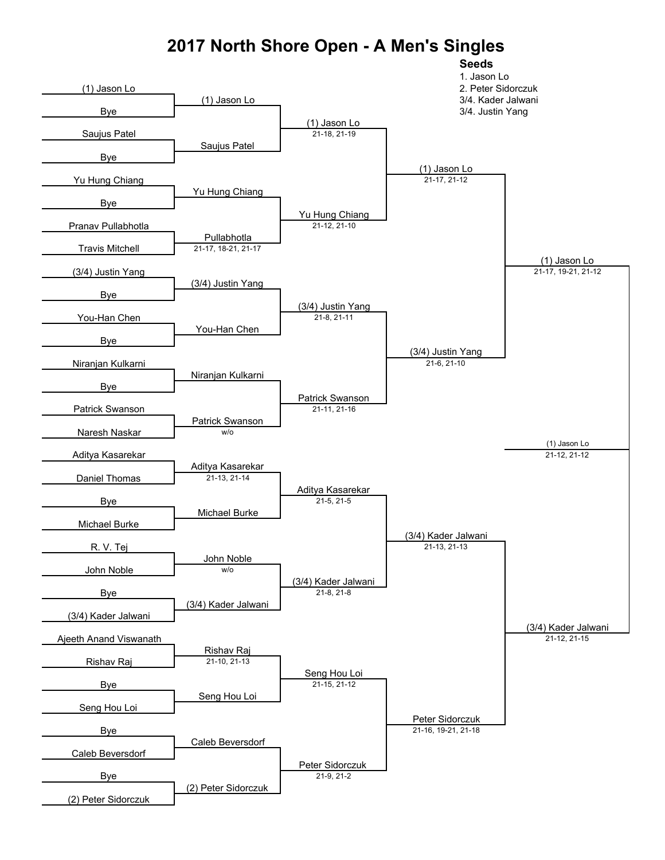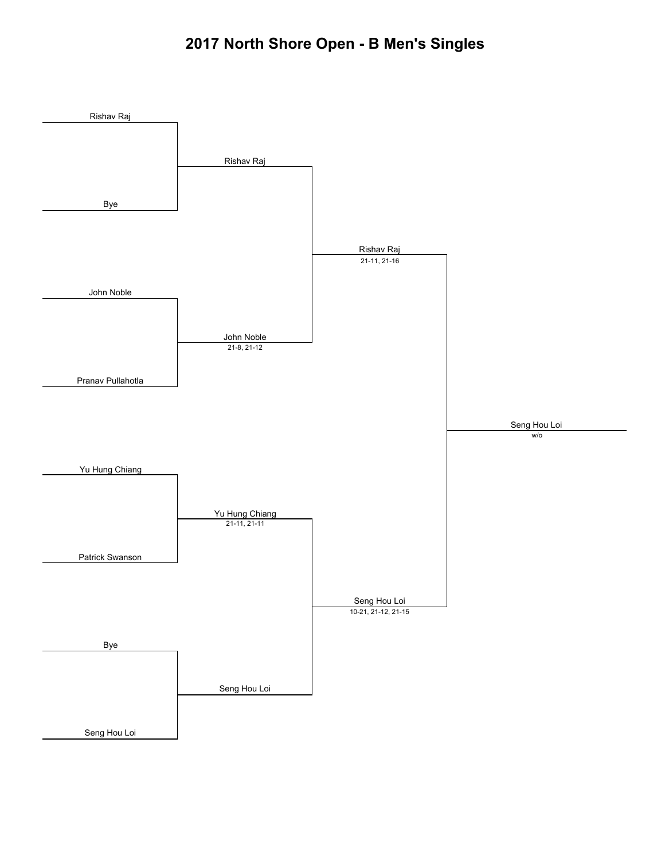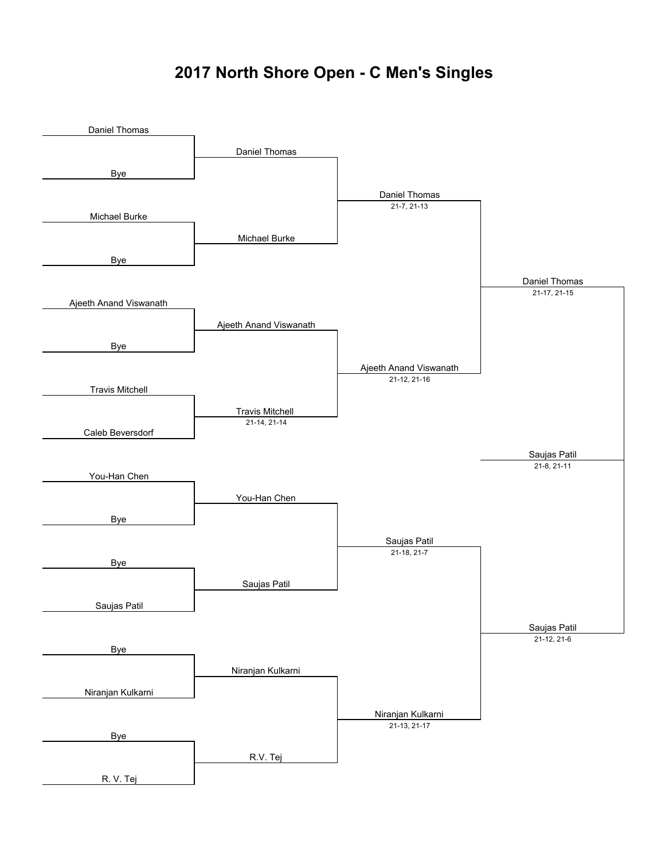## **2017 North Shore Open - C Men's Singles**

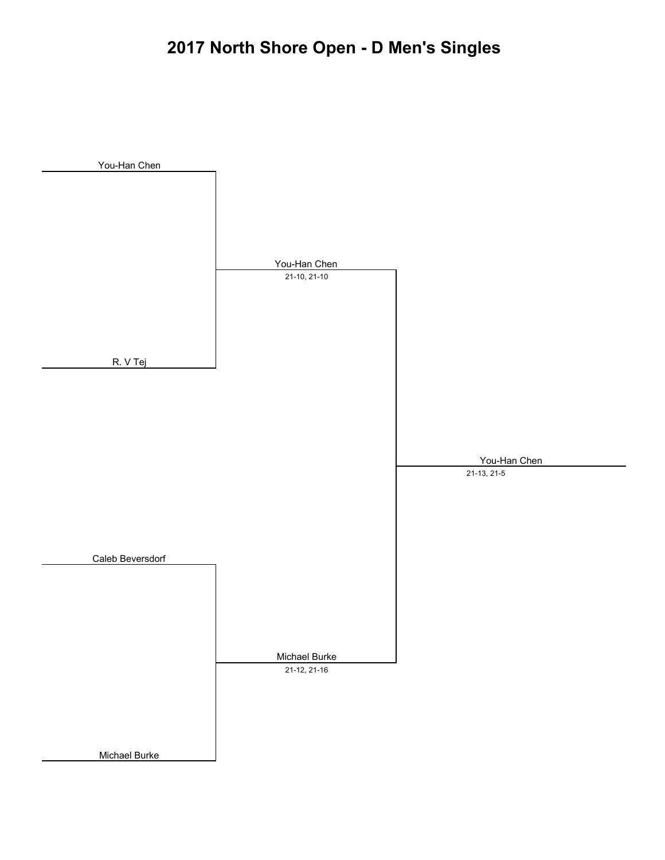# **2017 North Shore Open - D Men's Singles**

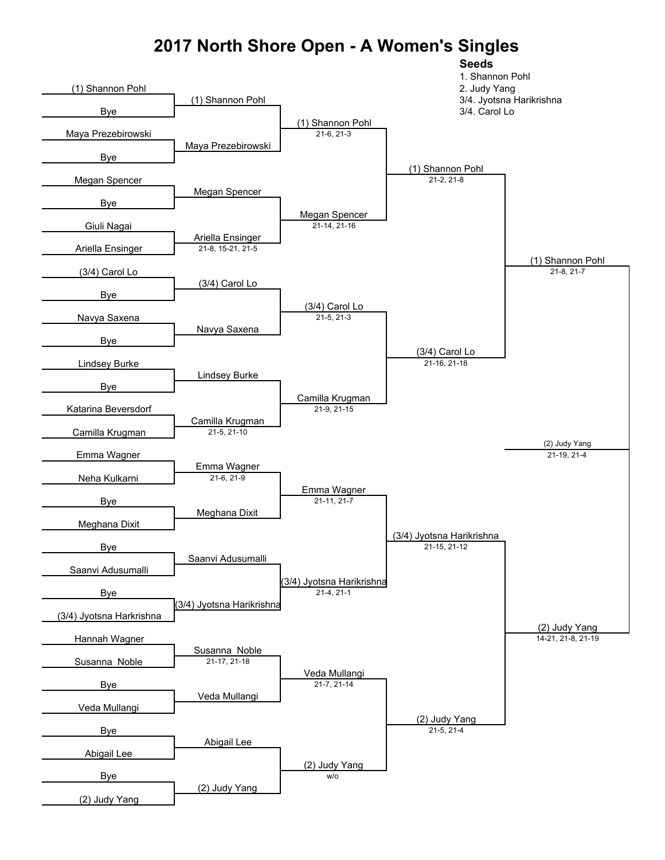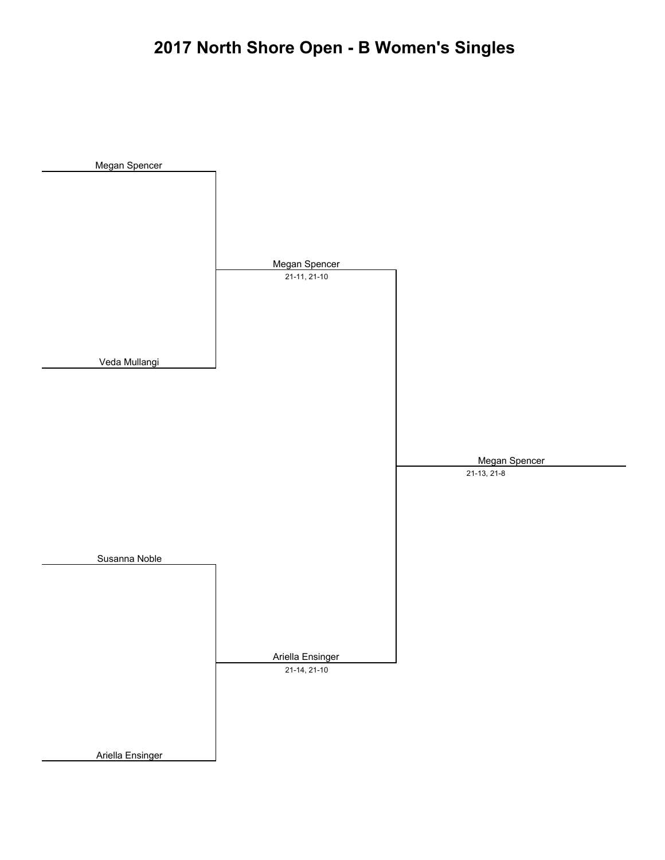# **2017 North Shore Open - B Women's Singles**

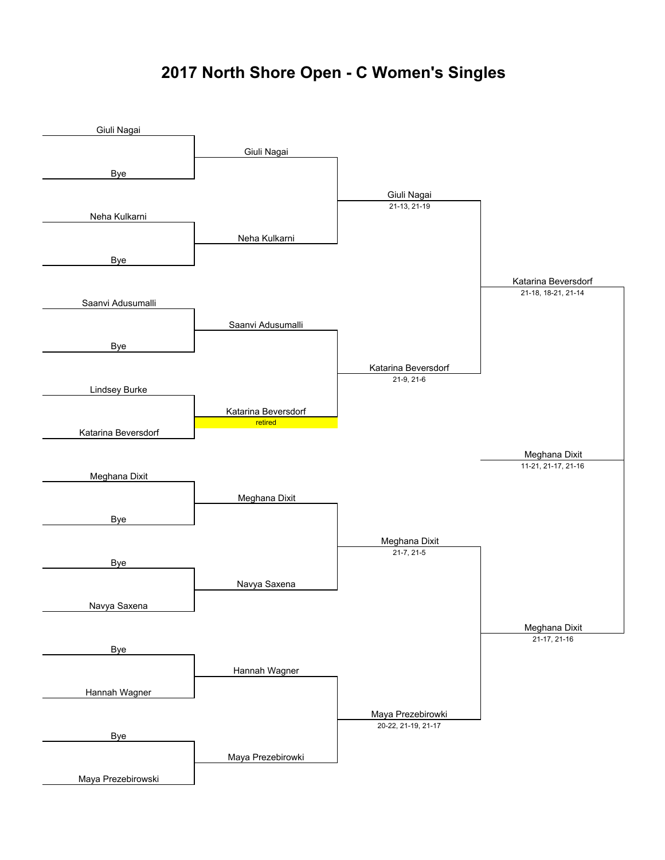## **2017 North Shore Open - C Women's Singles**

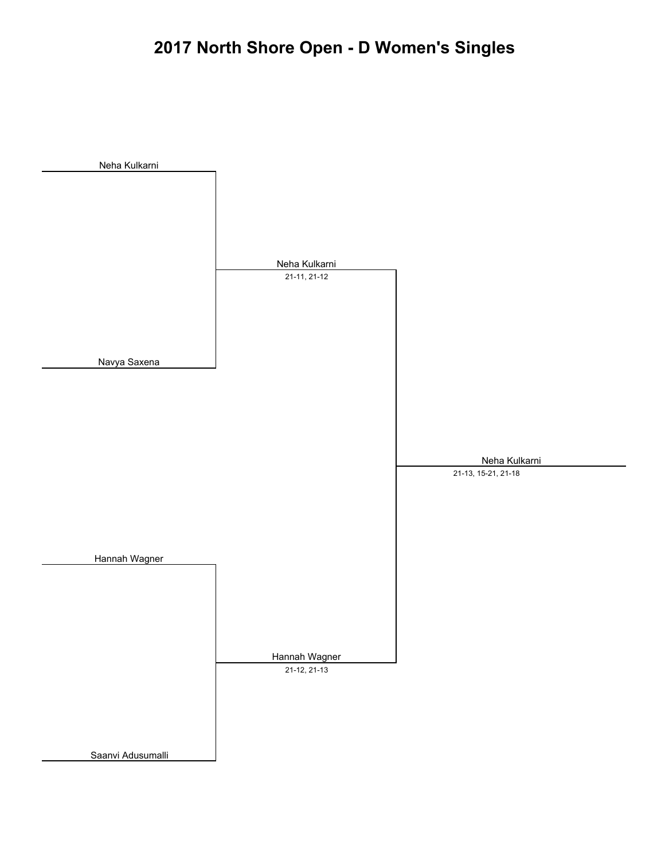# **2017 North Shore Open - D Women's Singles**

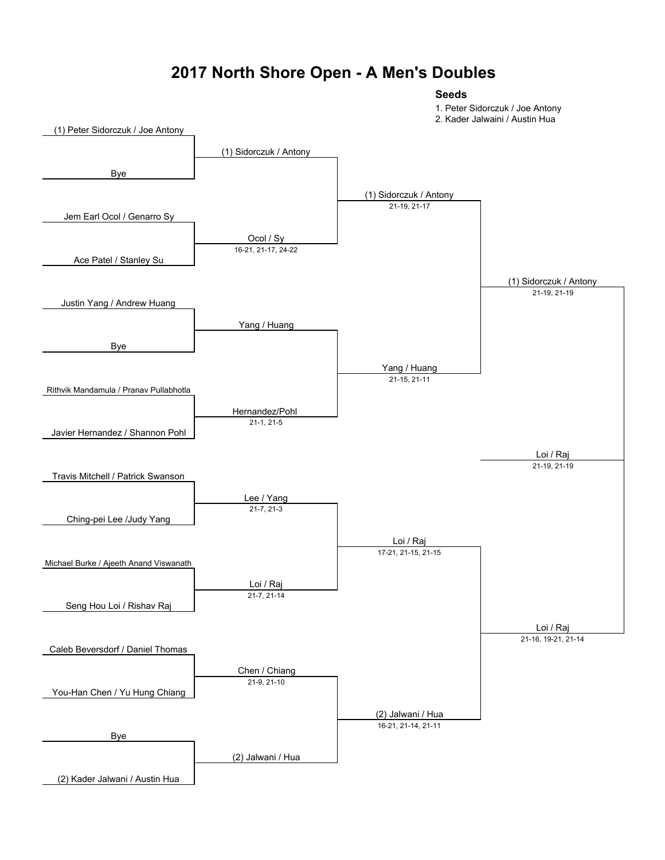### **2017 North Shore Open - A Men's Doubles**

#### **Seeds**

1. Peter Sidorczuk / Joe Antony

2. Kader Jalwaini / Austin Hua

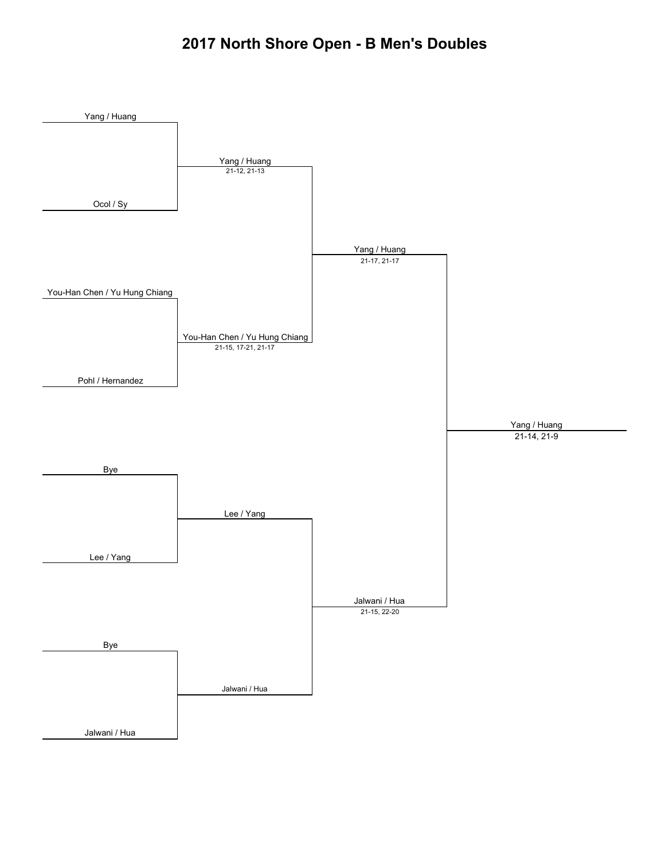### **2017 North Shore Open - B Men's Doubles**

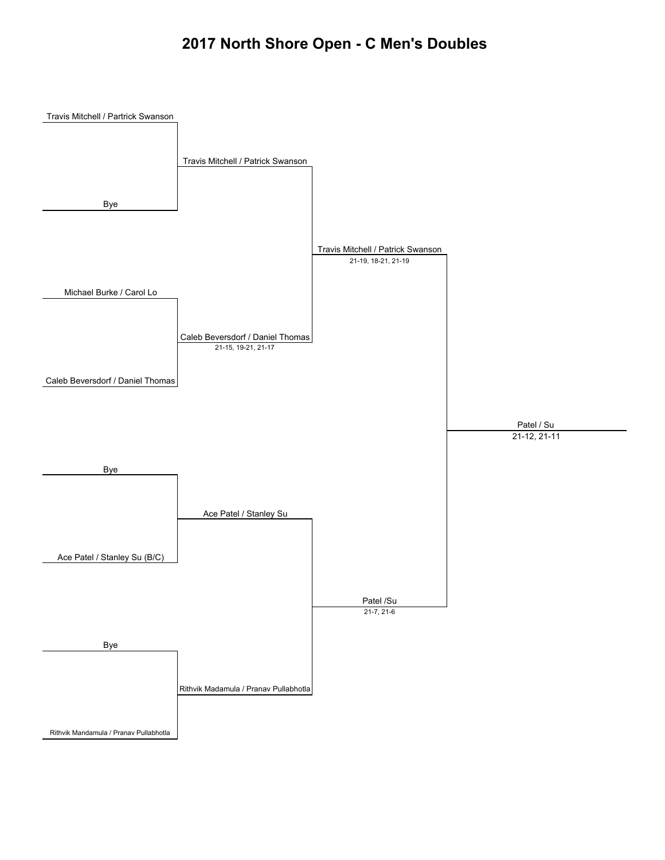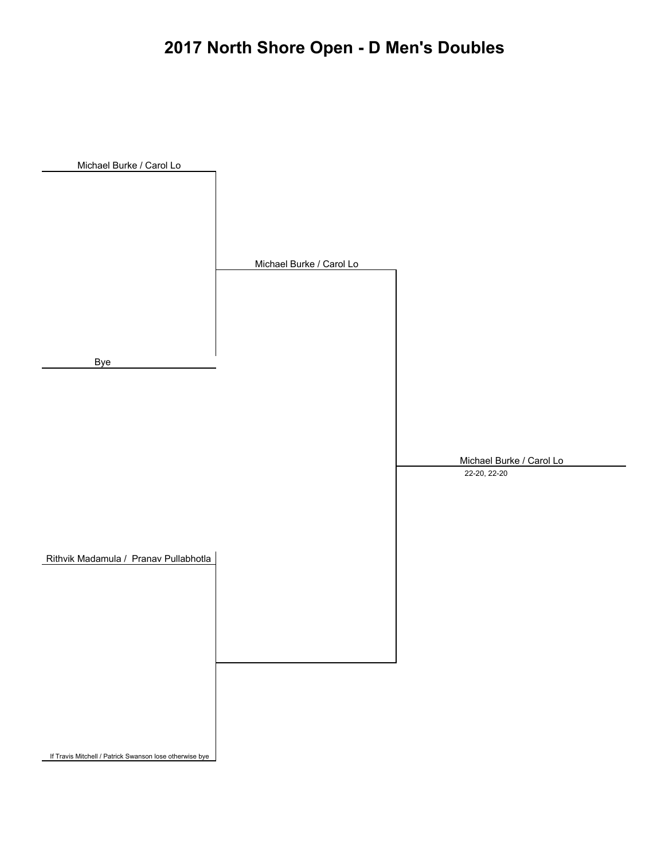# **2017 North Shore Open - D Men's Doubles**



If Travis Mitchell / Patrick Swanson lose otherwise bye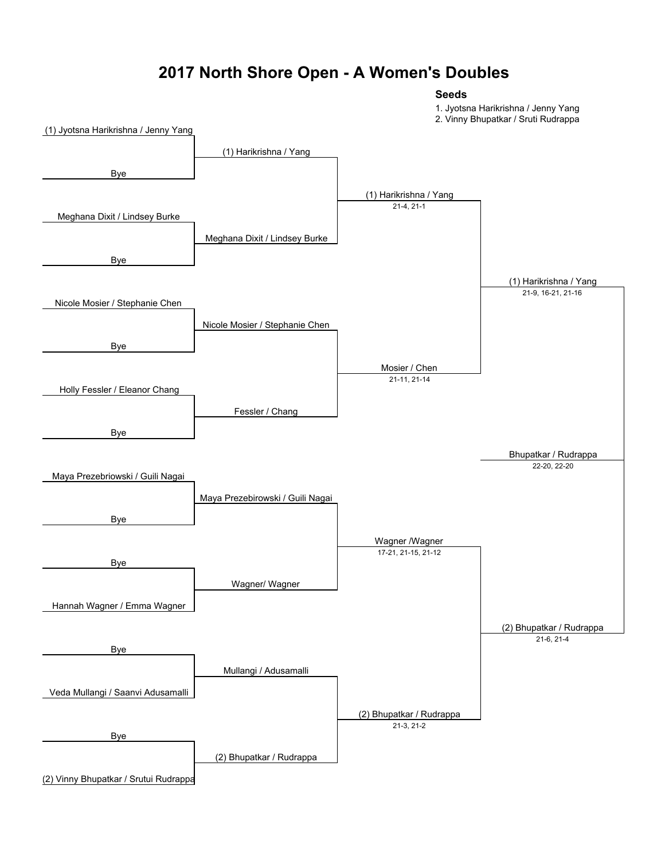### **2017 North Shore Open - A Women's Doubles**

#### **Seeds**

1. Jyotsna Harikrishna / Jenny Yang

2. Vinny Bhupatkar / Sruti Rudrappa

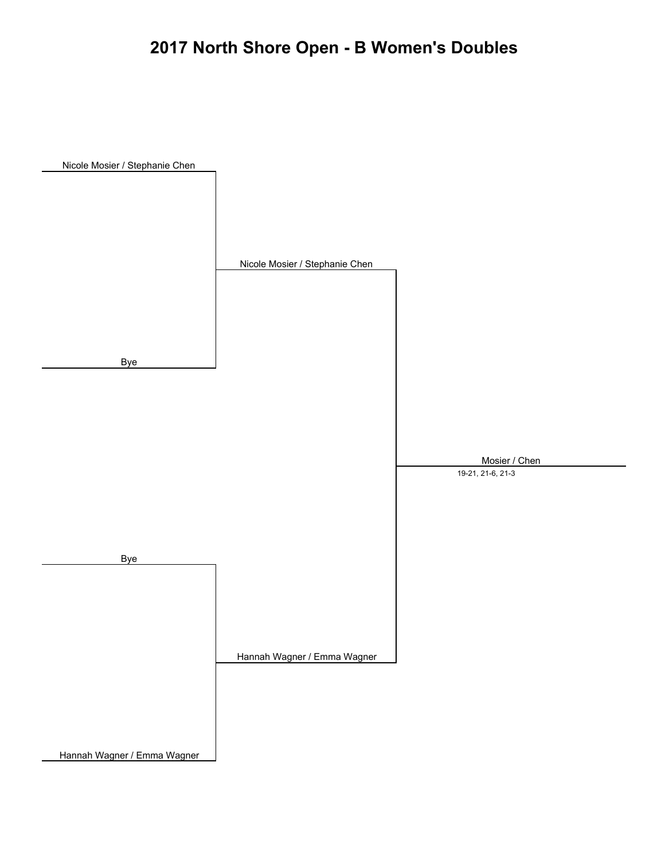# **2017 North Shore Open - B Women's Doubles**

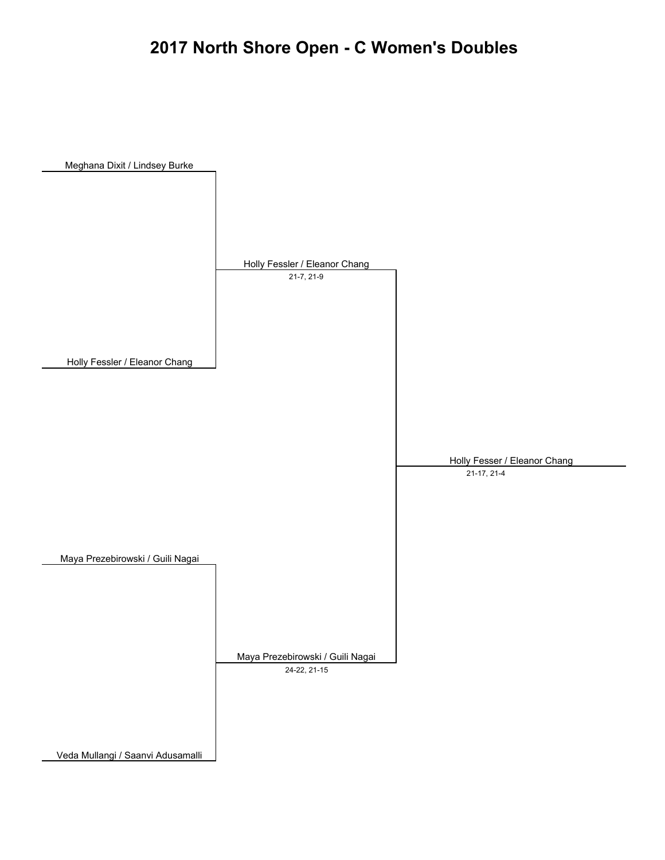## **2017 North Shore Open - C Women's Doubles**

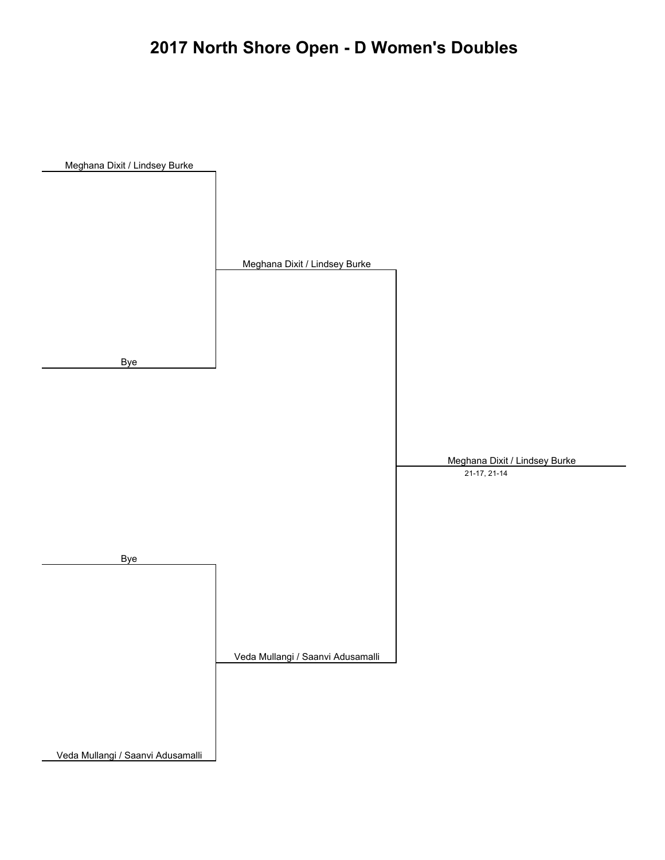# **2017 North Shore Open - D Women's Doubles**

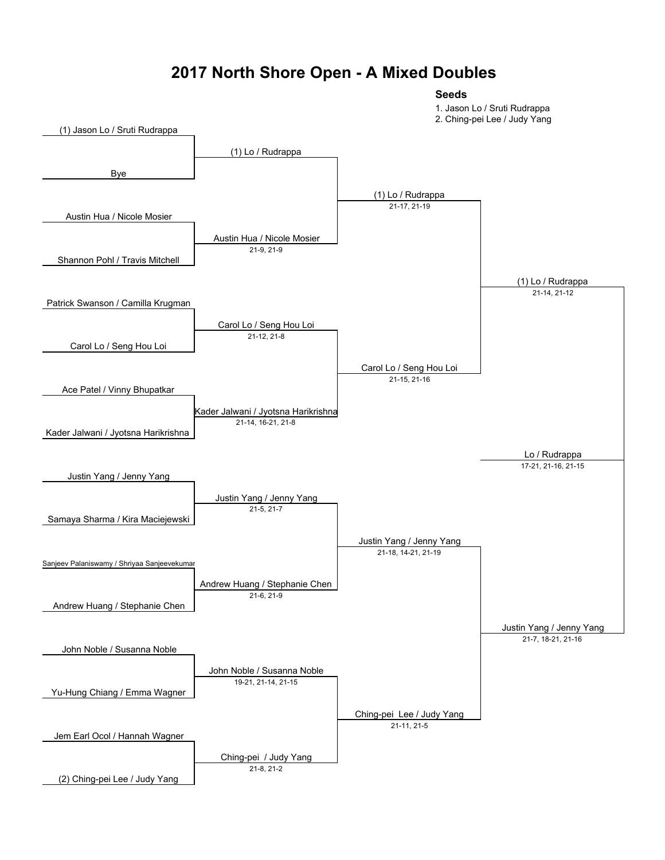### **2017 North Shore Open - A Mixed Doubles**

#### **Seeds**

1. Jason Lo / Sruti Rudrappa

2. Ching-pei Lee / Judy Yang

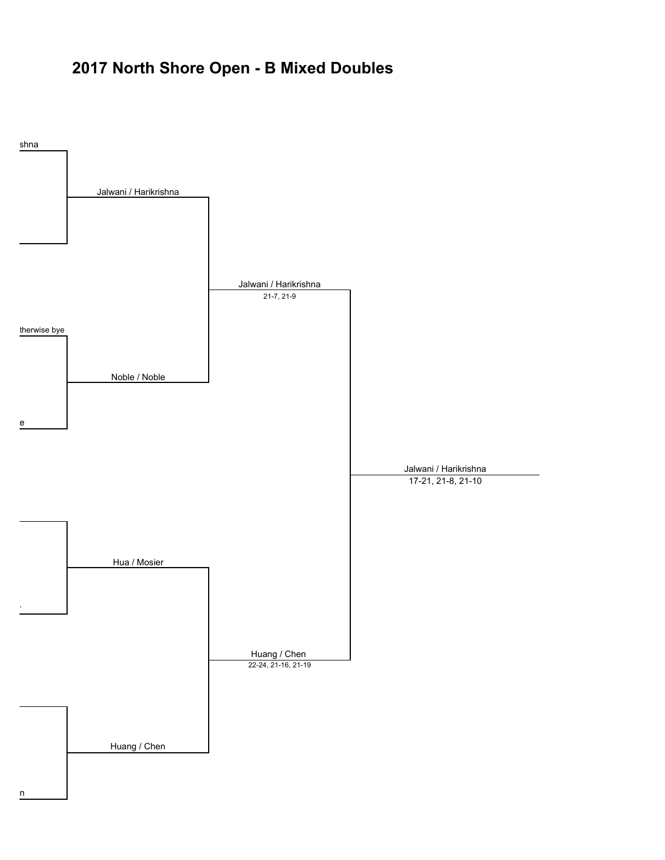## **2017 North Shore Open - B Mixed Doubles**

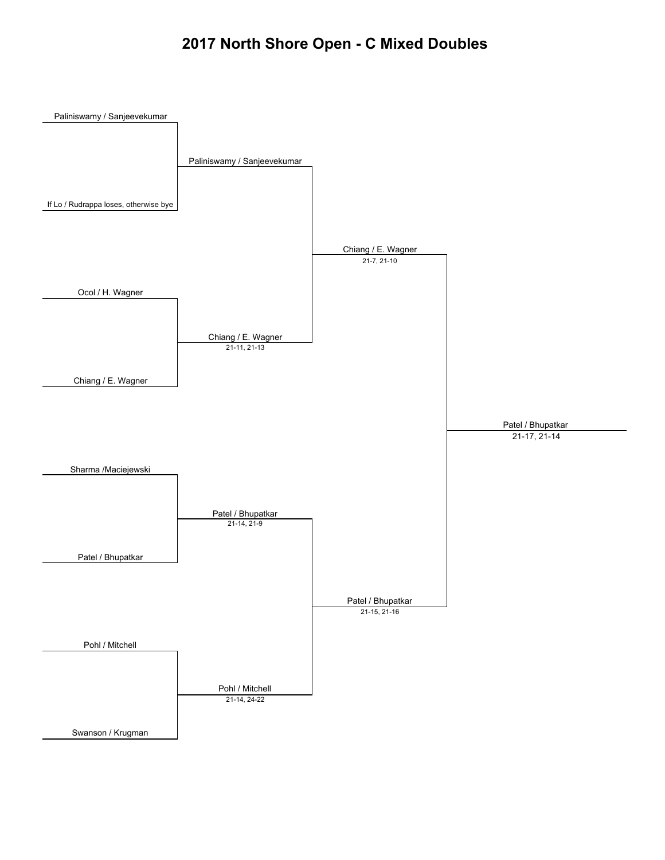